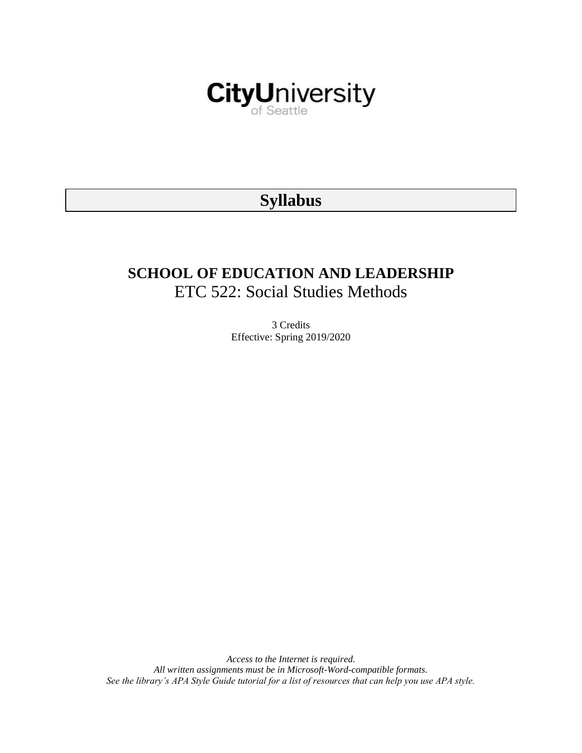

# **Syllabus**

# **SCHOOL OF EDUCATION AND LEADERSHIP** ETC 522: Social Studies Methods

3 Credits Effective: Spring 2019/2020

*Access to the Internet is required. All written assignments must be in Microsoft-Word-compatible formats. See the library's APA Style Guide tutorial for a list of resources that can help you use APA style.*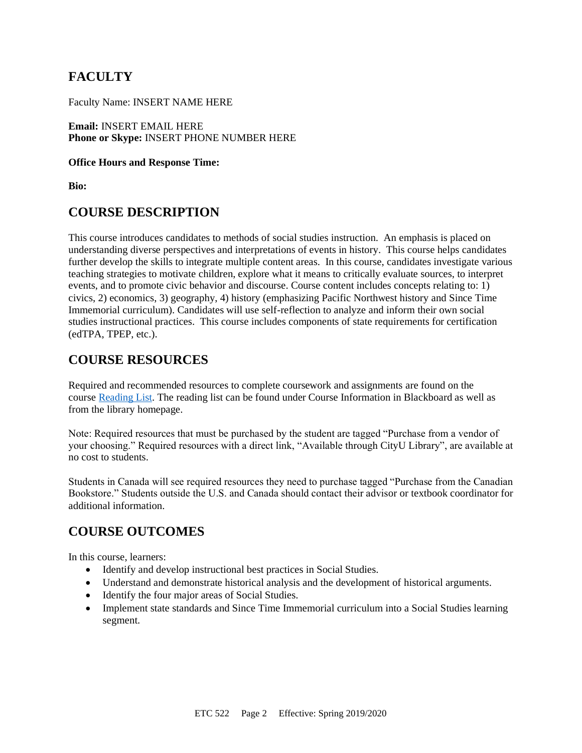# **FACULTY**

Faculty Name: INSERT NAME HERE

**Email:** INSERT EMAIL HERE **Phone or Skype:** INSERT PHONE NUMBER HERE

#### **Office Hours and Response Time:**

**Bio:**

### **COURSE DESCRIPTION**

This course introduces candidates to methods of social studies instruction. An emphasis is placed on understanding diverse perspectives and interpretations of events in history. This course helps candidates further develop the skills to integrate multiple content areas. In this course, candidates investigate various teaching strategies to motivate children, explore what it means to critically evaluate sources, to interpret events, and to promote civic behavior and discourse. Course content includes concepts relating to: 1) civics, 2) economics, 3) geography, 4) history (emphasizing Pacific Northwest history and Since Time Immemorial curriculum). Candidates will use self-reflection to analyze and inform their own social studies instructional practices. This course includes components of state requirements for certification (edTPA, TPEP, etc.).

## **COURSE RESOURCES**

Required and recommended resources to complete coursework and assignments are found on the course [Reading List.](https://nam03.safelinks.protection.outlook.com/?url=https%3A%2F%2Fcityu.alma.exlibrisgroup.com%2Fleganto%2Flogin%3Fauth%3DSAML&data=04%7C01%7CMMara%40cityu.edu%7C70673ce0fe0144040eda08d87472e204%7Cb3fa96d9f5154662add763d854e39e63%7C1%7C0%7C637387384066198115%7CUnknown%7CTWFpbGZsb3d8eyJWIjoiMC4wLjAwMDAiLCJQIjoiV2luMzIiLCJBTiI6Ik1haWwiLCJXVCI6Mn0%3D%7C1000&sdata=JbwP%2Fm5Q%2BMgIUWa%2FXceos%2BoiLv0DX%2B%2FL%2BNGNMbX9P8E%3D&reserved=0) The reading list can be found under Course Information in Blackboard as well as from the library homepage.

Note: Required resources that must be purchased by the student are tagged "Purchase from a vendor of your choosing." Required resources with a direct link, "Available through CityU Library", are available at no cost to students.

Students in Canada will see required resources they need to purchase tagged "Purchase from the Canadian Bookstore." Students outside the U.S. and Canada should contact their advisor or textbook coordinator for additional information.

## **COURSE OUTCOMES**

In this course, learners:

- Identify and develop instructional best practices in Social Studies.
- Understand and demonstrate historical analysis and the development of historical arguments.
- Identify the four major areas of Social Studies.
- Implement state standards and Since Time Immemorial curriculum into a Social Studies learning segment.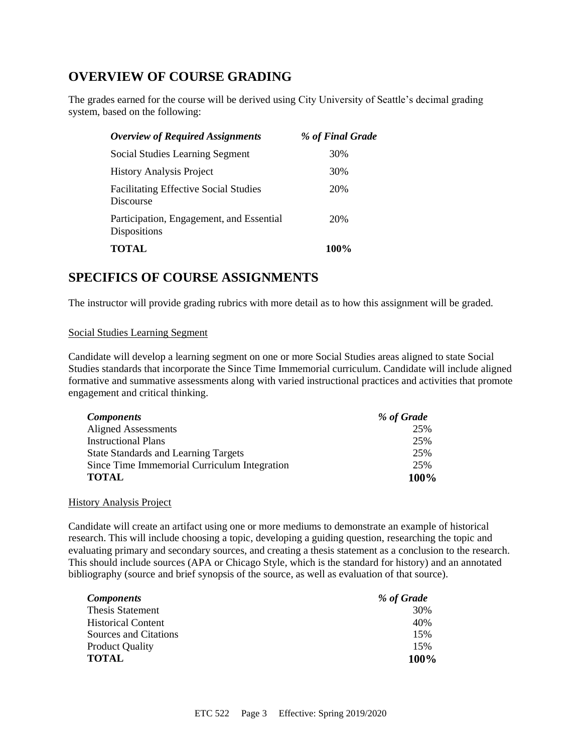# **OVERVIEW OF COURSE GRADING**

The grades earned for the course will be derived using City University of Seattle's decimal grading system, based on the following:

| <b>Overview of Required Assignments</b>                         | % of Final Grade |
|-----------------------------------------------------------------|------------------|
| Social Studies Learning Segment                                 | 30%              |
| <b>History Analysis Project</b>                                 | 30%              |
| <b>Facilitating Effective Social Studies</b><br>Discourse       | 20%              |
| Participation, Engagement, and Essential<br><b>Dispositions</b> | 20%              |
| <b>TOTAL</b>                                                    | 100%             |

### **SPECIFICS OF COURSE ASSIGNMENTS**

The instructor will provide grading rubrics with more detail as to how this assignment will be graded.

#### Social Studies Learning Segment

Candidate will develop a learning segment on one or more Social Studies areas aligned to state Social Studies standards that incorporate the Since Time Immemorial curriculum. Candidate will include aligned formative and summative assessments along with varied instructional practices and activities that promote engagement and critical thinking.

| <b>Components</b>                            | % of Grade |
|----------------------------------------------|------------|
| <b>Aligned Assessments</b>                   | 25%        |
| <b>Instructional Plans</b>                   | 25%        |
| <b>State Standards and Learning Targets</b>  | 25%        |
| Since Time Immemorial Curriculum Integration | 25%        |
| <b>TOTAL</b>                                 | 100%       |

#### History Analysis Project

Candidate will create an artifact using one or more mediums to demonstrate an example of historical research. This will include choosing a topic, developing a guiding question, researching the topic and evaluating primary and secondary sources, and creating a thesis statement as a conclusion to the research. This should include sources (APA or Chicago Style, which is the standard for history) and an annotated bibliography (source and brief synopsis of the source, as well as evaluation of that source).

| <b>Components</b>         | % of Grade |
|---------------------------|------------|
| <b>Thesis Statement</b>   | 30%        |
| <b>Historical Content</b> | 40%        |
| Sources and Citations     | 15%        |
| <b>Product Quality</b>    | 15%        |
| <b>TOTAL</b>              | 100%       |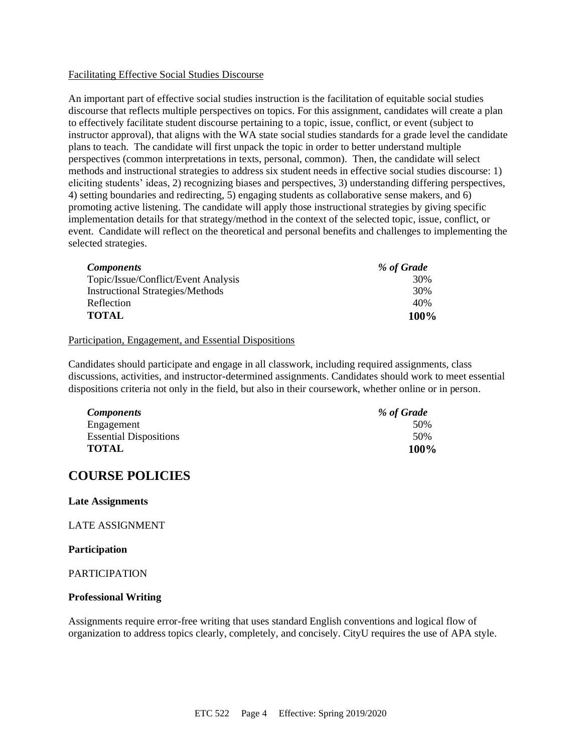#### Facilitating Effective Social Studies Discourse

An important part of effective social studies instruction is the facilitation of equitable social studies discourse that reflects multiple perspectives on topics. For this assignment, candidates will create a plan to effectively facilitate student discourse pertaining to a topic, issue, conflict, or event (subject to instructor approval), that aligns with the WA state social studies standards for a grade level the candidate plans to teach. The candidate will first unpack the topic in order to better understand multiple perspectives (common interpretations in texts, personal, common). Then, the candidate will select methods and instructional strategies to address six student needs in effective social studies discourse: 1) eliciting students' ideas, 2) recognizing biases and perspectives, 3) understanding differing perspectives, 4) setting boundaries and redirecting, 5) engaging students as collaborative sense makers, and 6) promoting active listening. The candidate will apply those instructional strategies by giving specific implementation details for that strategy/method in the context of the selected topic, issue, conflict, or event. Candidate will reflect on the theoretical and personal benefits and challenges to implementing the selected strategies.

| Components                              | % of Grade |
|-----------------------------------------|------------|
| Topic/Issue/Conflict/Event Analysis     | 30%        |
| <b>Instructional Strategies/Methods</b> | 30%        |
| Reflection                              | 40%        |
| TOTAL                                   | 100%       |

#### Participation, Engagement, and Essential Dispositions

Candidates should participate and engage in all classwork, including required assignments, class discussions, activities, and instructor-determined assignments. Candidates should work to meet essential dispositions criteria not only in the field, but also in their coursework, whether online or in person.

| <b>Components</b>             | % of Grade |
|-------------------------------|------------|
| Engagement                    | 50%        |
| <b>Essential Dispositions</b> | 50%        |
| <b>TOTAL</b>                  | 100%       |

### **COURSE POLICIES**

#### **Late Assignments**

LATE ASSIGNMENT

#### **Participation**

#### PARTICIPATION

#### **Professional Writing**

Assignments require error-free writing that uses standard English conventions and logical flow of organization to address topics clearly, completely, and concisely. CityU requires the use of APA style.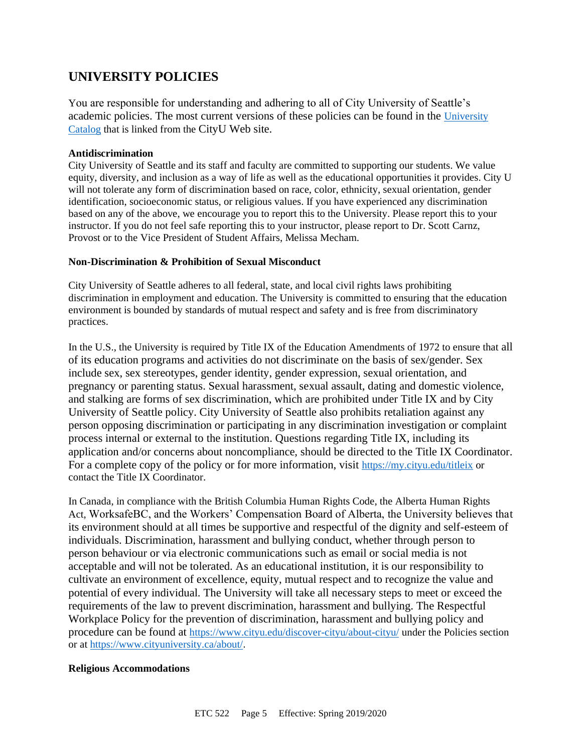# **UNIVERSITY POLICIES**

You are responsible for understanding and adhering to all of City University of Seattle's academic policies. The most current versions of these policies can be found in the [University](https://www.cityu.edu/catalog/)  [Catalog](https://www.cityu.edu/catalog/) that is linked from the CityU Web site.

#### **Antidiscrimination**

City University of Seattle and its staff and faculty are committed to supporting our students. We value equity, diversity, and inclusion as a way of life as well as the educational opportunities it provides. City U will not tolerate any form of discrimination based on race, color, ethnicity, sexual orientation, gender identification, socioeconomic status, or religious values. If you have experienced any discrimination based on any of the above, we encourage you to report this to the University. Please report this to your instructor. If you do not feel safe reporting this to your instructor, please report to Dr. Scott Carnz, Provost or to the Vice President of Student Affairs, Melissa Mecham.

#### **Non-Discrimination & Prohibition of Sexual Misconduct**

City University of Seattle adheres to all federal, state, and local civil rights laws prohibiting discrimination in employment and education. The University is committed to ensuring that the education environment is bounded by standards of mutual respect and safety and is free from discriminatory practices.

In the U.S., the University is required by Title IX of the Education Amendments of 1972 to ensure that all of its education programs and activities do not discriminate on the basis of sex/gender. Sex include sex, sex stereotypes, gender identity, gender expression, sexual orientation, and pregnancy or parenting status. Sexual harassment, sexual assault, dating and domestic violence, and stalking are forms of sex discrimination, which are prohibited under Title IX and by City University of Seattle policy. City University of Seattle also prohibits retaliation against any person opposing discrimination or participating in any discrimination investigation or complaint process internal or external to the institution. Questions regarding Title IX, including its application and/or concerns about noncompliance, should be directed to the Title IX Coordinator. For a complete copy of the policy or for more information, visit <https://my.cityu.edu/titleix> or contact the Title IX Coordinator.

In Canada, in compliance with the British Columbia Human Rights Code, the Alberta Human Rights Act, WorksafeBC, and the Workers' Compensation Board of Alberta, the University believes that its environment should at all times be supportive and respectful of the dignity and self-esteem of individuals. Discrimination, harassment and bullying conduct, whether through person to person behaviour or via electronic communications such as email or social media is not acceptable and will not be tolerated. As an educational institution, it is our responsibility to cultivate an environment of excellence, equity, mutual respect and to recognize the value and potential of every individual. The University will take all necessary steps to meet or exceed the requirements of the law to prevent discrimination, harassment and bullying. The Respectful Workplace Policy for the prevention of discrimination, harassment and bullying policy and procedure can be found at <https://www.cityu.edu/discover-cityu/about-cityu/> under the Policies section or at <https://www.cityuniversity.ca/about/>.

#### **Religious Accommodations**